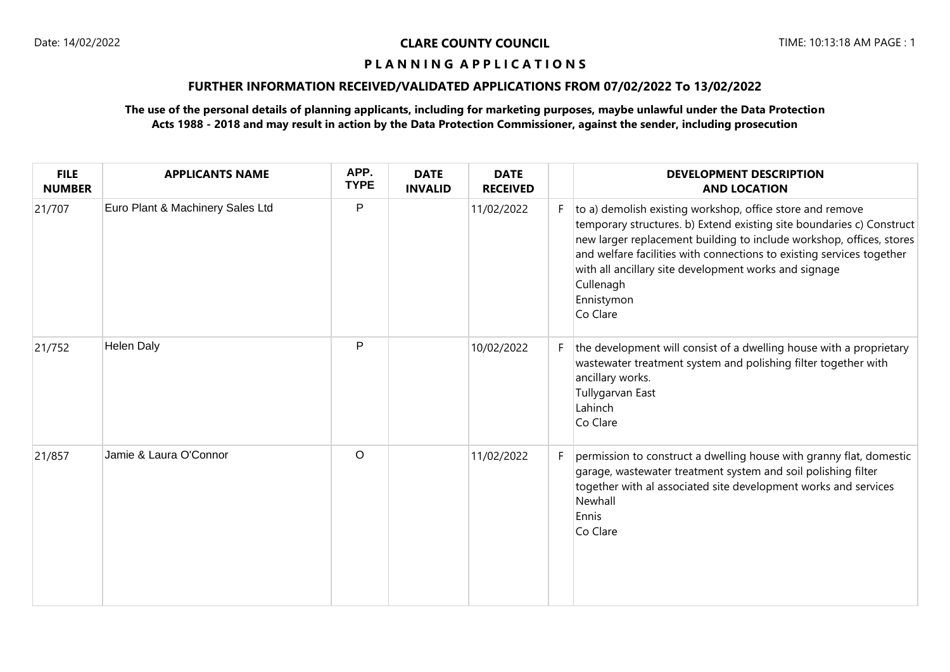# **FURTHER INFORMATION RECEIVED/VALIDATED APPLICATIONS FROM 07/02/2022 To 13/02/2022**

| <b>FILE</b><br><b>NUMBER</b> | <b>APPLICANTS NAME</b>           | APP.<br><b>TYPE</b> | <b>DATE</b><br><b>INVALID</b> | <b>DATE</b><br><b>RECEIVED</b> |    | <b>DEVELOPMENT DESCRIPTION</b><br><b>AND LOCATION</b>                                                                                                                                                                                                                                                                                                                               |
|------------------------------|----------------------------------|---------------------|-------------------------------|--------------------------------|----|-------------------------------------------------------------------------------------------------------------------------------------------------------------------------------------------------------------------------------------------------------------------------------------------------------------------------------------------------------------------------------------|
| 21/707                       | Euro Plant & Machinery Sales Ltd | P                   |                               | 11/02/2022                     | F. | to a) demolish existing workshop, office store and remove<br>temporary structures. b) Extend existing site boundaries c) Construct<br>new larger replacement building to include workshop, offices, stores<br>and welfare facilities with connections to existing services together<br>with all ancillary site development works and signage<br>Cullenagh<br>Ennistymon<br>Co Clare |
| 21/752                       | <b>Helen Daly</b>                | P                   |                               | 10/02/2022                     | F. | the development will consist of a dwelling house with a proprietary<br>wastewater treatment system and polishing filter together with<br>ancillary works.<br>Tullygarvan East<br>Lahinch<br>Co Clare                                                                                                                                                                                |
| 21/857                       | Jamie & Laura O'Connor           | $\circ$             |                               | 11/02/2022                     | F  | permission to construct a dwelling house with granny flat, domestic<br>garage, wastewater treatment system and soil polishing filter<br>together with al associated site development works and services<br>Newhall<br>Ennis<br>Co Clare                                                                                                                                             |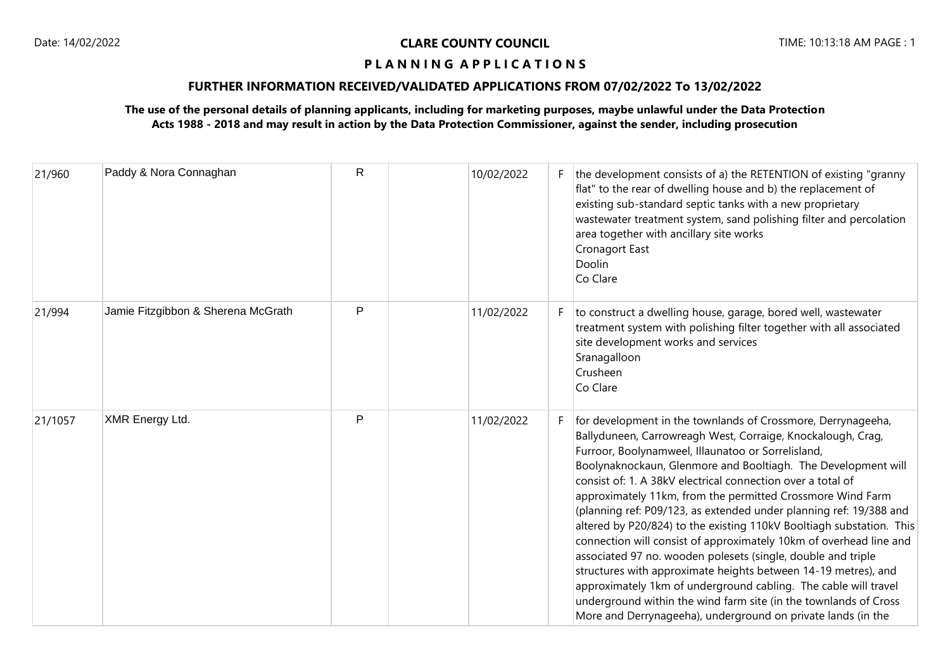# **FURTHER INFORMATION RECEIVED/VALIDATED APPLICATIONS FROM 07/02/2022 To 13/02/2022**

| 21/960  | Paddy & Nora Connaghan             | $\mathsf{R}$ | 10/02/2022 | F. | the development consists of a) the RETENTION of existing "granny<br>flat" to the rear of dwelling house and b) the replacement of<br>existing sub-standard septic tanks with a new proprietary<br>wastewater treatment system, sand polishing filter and percolation<br>area together with ancillary site works<br>Cronagort East<br>Doolin<br>Co Clare                                                                                                                                                                                                                                                                                                                                                                                                                                                                                                                                                                                      |
|---------|------------------------------------|--------------|------------|----|----------------------------------------------------------------------------------------------------------------------------------------------------------------------------------------------------------------------------------------------------------------------------------------------------------------------------------------------------------------------------------------------------------------------------------------------------------------------------------------------------------------------------------------------------------------------------------------------------------------------------------------------------------------------------------------------------------------------------------------------------------------------------------------------------------------------------------------------------------------------------------------------------------------------------------------------|
| 21/994  | Jamie Fitzgibbon & Sherena McGrath | P            | 11/02/2022 | F. | to construct a dwelling house, garage, bored well, wastewater<br>treatment system with polishing filter together with all associated<br>site development works and services<br>Sranagalloon<br>Crusheen<br>Co Clare                                                                                                                                                                                                                                                                                                                                                                                                                                                                                                                                                                                                                                                                                                                          |
| 21/1057 | XMR Energy Ltd.                    | P            | 11/02/2022 | F. | for development in the townlands of Crossmore, Derrynageeha,<br>Ballyduneen, Carrowreagh West, Corraige, Knockalough, Crag,<br>Furroor, Boolynamweel, Illaunatoo or Sorrelisland,<br>Boolynaknockaun, Glenmore and Booltiagh. The Development will<br>consist of: 1. A 38kV electrical connection over a total of<br>approximately 11km, from the permitted Crossmore Wind Farm<br>(planning ref: P09/123, as extended under planning ref: 19/388 and<br>altered by P20/824) to the existing 110kV Booltiagh substation. This<br>connection will consist of approximately 10km of overhead line and<br>associated 97 no. wooden polesets (single, double and triple<br>structures with approximate heights between 14-19 metres), and<br>approximately 1km of underground cabling. The cable will travel<br>underground within the wind farm site (in the townlands of Cross<br>More and Derrynageeha), underground on private lands (in the |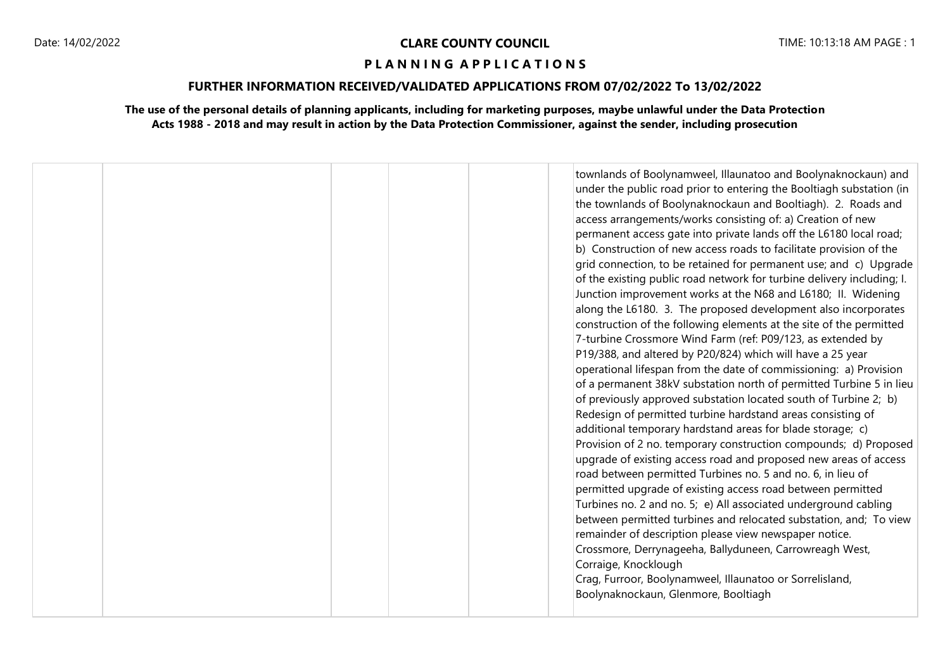### **FURTHER INFORMATION RECEIVED/VALIDATED APPLICATIONS FROM 07/02/2022 To 13/02/2022**

|  |  | townlands of Boolynamweel, Illaunatoo and Boolynaknockaun) and<br>under the public road prior to entering the Booltiagh substation (in<br>the townlands of Boolynaknockaun and Booltiagh). 2. Roads and<br>access arrangements/works consisting of: a) Creation of new<br>permanent access gate into private lands off the L6180 local road;<br>b) Construction of new access roads to facilitate provision of the<br>grid connection, to be retained for permanent use; and c) Upgrade<br>of the existing public road network for turbine delivery including; I.<br>Junction improvement works at the N68 and L6180; II. Widening<br>along the L6180. 3. The proposed development also incorporates<br>construction of the following elements at the site of the permitted<br>7-turbine Crossmore Wind Farm (ref: P09/123, as extended by<br>P19/388, and altered by P20/824) which will have a 25 year<br>operational lifespan from the date of commissioning: a) Provision<br>of a permanent 38kV substation north of permitted Turbine 5 in lieu<br>of previously approved substation located south of Turbine 2; b)<br>Redesign of permitted turbine hardstand areas consisting of<br>additional temporary hardstand areas for blade storage; c)<br>Provision of 2 no. temporary construction compounds; d) Proposed<br>upgrade of existing access road and proposed new areas of access<br>road between permitted Turbines no. 5 and no. 6, in lieu of<br>permitted upgrade of existing access road between permitted<br>Turbines no. 2 and no. 5; e) All associated underground cabling<br>between permitted turbines and relocated substation, and; To view<br>remainder of description please view newspaper notice.<br>Crossmore, Derrynageeha, Ballyduneen, Carrowreagh West,<br>Corraige, Knocklough<br>Crag, Furroor, Boolynamweel, Illaunatoo or Sorrelisland,<br>Boolynaknockaun, Glenmore, Booltiagh |
|--|--|----------------------------------------------------------------------------------------------------------------------------------------------------------------------------------------------------------------------------------------------------------------------------------------------------------------------------------------------------------------------------------------------------------------------------------------------------------------------------------------------------------------------------------------------------------------------------------------------------------------------------------------------------------------------------------------------------------------------------------------------------------------------------------------------------------------------------------------------------------------------------------------------------------------------------------------------------------------------------------------------------------------------------------------------------------------------------------------------------------------------------------------------------------------------------------------------------------------------------------------------------------------------------------------------------------------------------------------------------------------------------------------------------------------------------------------------------------------------------------------------------------------------------------------------------------------------------------------------------------------------------------------------------------------------------------------------------------------------------------------------------------------------------------------------------------------------------------------------------------------------------------------------------------------------|
|--|--|----------------------------------------------------------------------------------------------------------------------------------------------------------------------------------------------------------------------------------------------------------------------------------------------------------------------------------------------------------------------------------------------------------------------------------------------------------------------------------------------------------------------------------------------------------------------------------------------------------------------------------------------------------------------------------------------------------------------------------------------------------------------------------------------------------------------------------------------------------------------------------------------------------------------------------------------------------------------------------------------------------------------------------------------------------------------------------------------------------------------------------------------------------------------------------------------------------------------------------------------------------------------------------------------------------------------------------------------------------------------------------------------------------------------------------------------------------------------------------------------------------------------------------------------------------------------------------------------------------------------------------------------------------------------------------------------------------------------------------------------------------------------------------------------------------------------------------------------------------------------------------------------------------------------|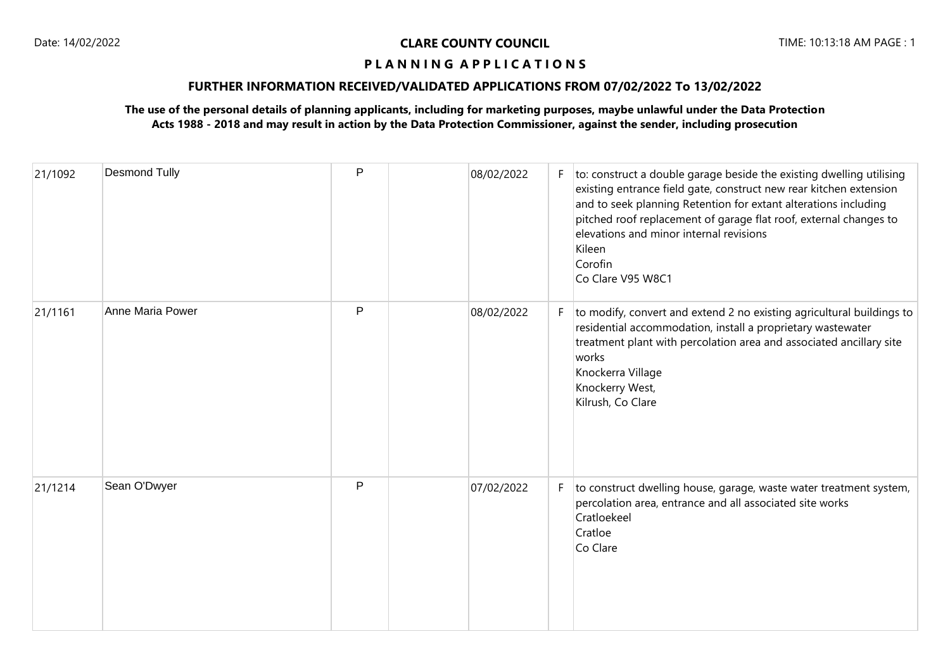# **FURTHER INFORMATION RECEIVED/VALIDATED APPLICATIONS FROM 07/02/2022 To 13/02/2022**

| 21/1092 | <b>Desmond Tully</b> | P | 08/02/2022 | F. | to: construct a double garage beside the existing dwelling utilising<br>existing entrance field gate, construct new rear kitchen extension<br>and to seek planning Retention for extant alterations including<br>pitched roof replacement of garage flat roof, external changes to<br>elevations and minor internal revisions<br>Kileen<br>Corofin<br>Co Clare V95 W8C1 |
|---------|----------------------|---|------------|----|-------------------------------------------------------------------------------------------------------------------------------------------------------------------------------------------------------------------------------------------------------------------------------------------------------------------------------------------------------------------------|
| 21/1161 | Anne Maria Power     | P | 08/02/2022 | F. | to modify, convert and extend 2 no existing agricultural buildings to<br>residential accommodation, install a proprietary wastewater<br>treatment plant with percolation area and associated ancillary site<br>works<br>Knockerra Village<br>Knockerry West,<br>Kilrush, Co Clare                                                                                       |
| 21/1214 | Sean O'Dwyer         | P | 07/02/2022 | F. | to construct dwelling house, garage, waste water treatment system,<br>percolation area, entrance and all associated site works<br>Cratloekeel<br>Cratloe<br>Co Clare                                                                                                                                                                                                    |